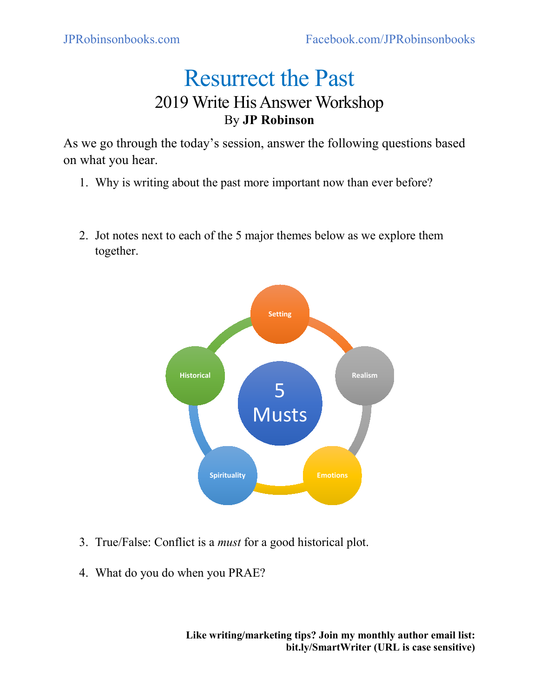## Resurrect the Past 2019 Write His Answer Workshop By **JP Robinson**

As we go through the today's session, answer the following questions based on what you hear.

- 1. Why is writing about the past more important now than ever before?
- 2. Jot notes next to each of the 5 major themes below as we explore them together.



- 3. True/False: Conflict is a *must* for a good historical plot.
- 4. What do you do when you PRAE?